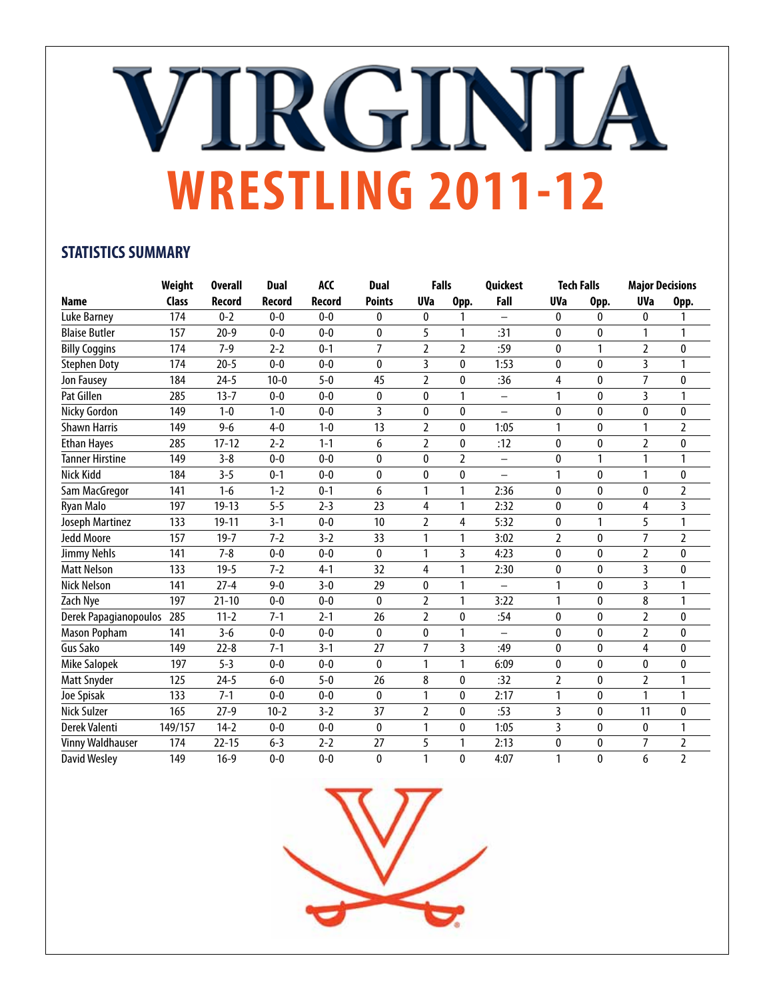## VIRGINIA **WRESTLING 2011-12**

#### **STATISTICS SUMMARY**

|                         | Weight       | <b>Overall</b> | <b>Dual</b> | ACC           | <b>Dual</b>    | <b>Falls</b>   |                | Quickest                 |                | <b>Tech Falls</b> | <b>Major Decisions</b> |                |
|-------------------------|--------------|----------------|-------------|---------------|----------------|----------------|----------------|--------------------------|----------------|-------------------|------------------------|----------------|
| <b>Name</b>             | <b>Class</b> | <b>Record</b>  | Record      | <b>Record</b> | <b>Points</b>  | <b>UVa</b>     | Opp.           | Fall                     | <b>UVa</b>     | Opp.              | <b>UVa</b>             | Opp.           |
| Luke Barney             | 174          | $0 - 2$        | $0 - 0$     | $0 - 0$       | 0              | 0              | 1              | —                        | 0              | 0                 | 0                      | 1              |
| <b>Blaise Butler</b>    | 157          | $20 - 9$       | $0 - 0$     | $0 - 0$       | $\mathbf{0}$   | 5              | 1              | :31                      | 0              | 0                 |                        | 1              |
| <b>Billy Coggins</b>    | 174          | $7-9$          | $2 - 2$     | $0 - 1$       | $\overline{7}$ | $\overline{2}$ | $\overline{2}$ | :59                      | 0              | 1                 | $\overline{2}$         | 0              |
| <b>Stephen Doty</b>     | 174          | $20 - 5$       | $0 - 0$     | $0 - 0$       | $\mathbf{0}$   | 3              | 0              | 1:53                     | 0              | 0                 | 3                      | 1              |
| Jon Fausey              | 184          | $24 - 5$       | $10 - 0$    | $5 - 0$       | 45             | $\overline{2}$ | 0              | :36                      | 4              | 0                 | $\overline{7}$         | 0              |
| Pat Gillen              | 285          | $13 - 7$       | $0-0$       | $0 - 0$       | 0              | 0              | 1              | $\qquad \qquad -$        | 1              | 0                 | 3                      | 1              |
| Nicky Gordon            | 149          | $1 - 0$        | $1 - 0$     | $0 - 0$       | 3              | 0              | 0              | $\overline{\phantom{0}}$ | $\mathbf{0}$   | 0                 | $\mathbf{0}$           | $\mathbf{0}$   |
| <b>Shawn Harris</b>     | 149          | $9 - 6$        | $4 - 0$     | $1 - 0$       | 13             | 2              | 0              | 1:05                     | 1              | 0                 |                        | 2              |
| <b>Ethan Hayes</b>      | 285          | $17 - 12$      | $2 - 2$     | $1 - 1$       | 6              | $\overline{2}$ | 0              | :12                      | 0              | 0                 | $\overline{2}$         | $\mathbf{0}$   |
| Tanner Hirstine         | 149          | $3 - 8$        | $0-0$       | $0 - 0$       | $\bf{0}$       | 0              | $\overline{2}$ | $\overline{\phantom{0}}$ | 0              | 1                 |                        | 1              |
| Nick Kidd               | 184          | $3 - 5$        | $0 - 1$     | $0 - 0$       | $\bf{0}$       | 0              | 0              | -                        | 1              | 0                 |                        | 0              |
| Sam MacGregor           | 141          | $1-6$          | $1 - 2$     | $0 - 1$       | 6              | 1              | 1              | 2:36                     | 0              | 0                 | $\mathbf{0}$           | $\overline{2}$ |
| <b>Ryan Malo</b>        | 197          | $19 - 13$      | $5 - 5$     | $2 - 3$       | 23             | 4              | 1              | 2:32                     | 0              | 0                 | 4                      | 3              |
| Joseph Martinez         | 133          | $19 - 11$      | $3 - 1$     | $0 - 0$       | 10             | 2              | 4              | 5:32                     | 0              | 1                 | 5                      |                |
| <b>Jedd Moore</b>       | 157          | $19 - 7$       | $7 - 2$     | $3 - 2$       | 33             | 1              | 1              | 3:02                     | $\overline{2}$ | 0                 | $\overline{7}$         | $\overline{2}$ |
| Jimmy Nehls             | 141          | $7 - 8$        | $0 - 0$     | $0 - 0$       | $\bf{0}$       | 1              | 3              | 4:23                     | 0              | 0                 | $\overline{2}$         | 0              |
| <b>Matt Nelson</b>      | 133          | $19 - 5$       | $7 - 2$     | $4 - 1$       | 32             | 4              | 1              | 2:30                     | $\mathbf{0}$   | 0                 | 3                      | $\mathbf{0}$   |
| <b>Nick Nelson</b>      | 141          | $27 - 4$       | $9 - 0$     | $3 - 0$       | 29             | $\mathbf{0}$   | 1              |                          | 1              | $\mathbf{0}$      | 3                      | 1              |
| Zach Nye                | 197          | $21 - 10$      | $0 - 0$     | $0 - 0$       | $\mathbf{0}$   | 2              | 1              | 3:22                     | 1              | 0                 | 8                      | 1              |
| Derek Papagianopoulos   | 285          | $11 - 2$       | $7 - 1$     | $2 - 1$       | 26             | $\overline{2}$ | 0              | :54                      | 0              | 0                 | $\overline{2}$         | 0              |
| <b>Mason Popham</b>     | 141          | $3 - 6$        | $0-0$       | $0 - 0$       | $\bf{0}$       | 0              | 1              | $\overline{\phantom{0}}$ | 0              | 0                 | $\overline{2}$         | 0              |
| Gus Sako                | 149          | $22 - 8$       | $7 - 1$     | $3 - 1$       | 27             | $\overline{7}$ | $\overline{3}$ | :49                      | 0              | 0                 | 4                      | $\mathbf{0}$   |
| <b>Mike Salopek</b>     | 197          | $5 - 3$        | $0 - 0$     | $0 - 0$       | $\mathbf{0}$   | 1              | 1              | 6:09                     | 0              | 0                 | $\mathbf{0}$           | 0              |
| Matt Snyder             | 125          | $24 - 5$       | $6-0$       | $5-0$         | 26             | 8              | 0              | :32                      | $\overline{2}$ | 0                 | $\overline{2}$         | 1              |
| Joe Spisak              | 133          | $7 - 1$        | $0 - 0$     | $0-0$         | 0              | 1              | 0              | 2:17                     | 1              | 0                 | 1                      | 1              |
| <b>Nick Sulzer</b>      | 165          | $27-9$         | $10 - 2$    | $3 - 2$       | 37             | $\overline{2}$ | 0              | :53                      | 3              | 0                 | 11                     | $\mathbf{0}$   |
| Derek Valenti           | 149/157      | $14-2$         | $0-0$       | $0 - 0$       | $\mathbf{0}$   | $\mathbf{1}$   | 0              | 1:05                     | 3              | 0                 | $\mathbf{0}$           | 1              |
| <b>Vinny Waldhauser</b> | 174          | $22 - 15$      | $6 - 3$     | $2 - 2$       | 27             | 5              | 1              | 2:13                     | 0              | 0                 | 7                      | 2              |
| <b>David Wesley</b>     | 149          | $16-9$         | $0 - 0$     | $0 - 0$       | $\mathbf{0}$   | 1              | 0              | 4:07                     | 1              | 0                 | 6                      | $\overline{2}$ |

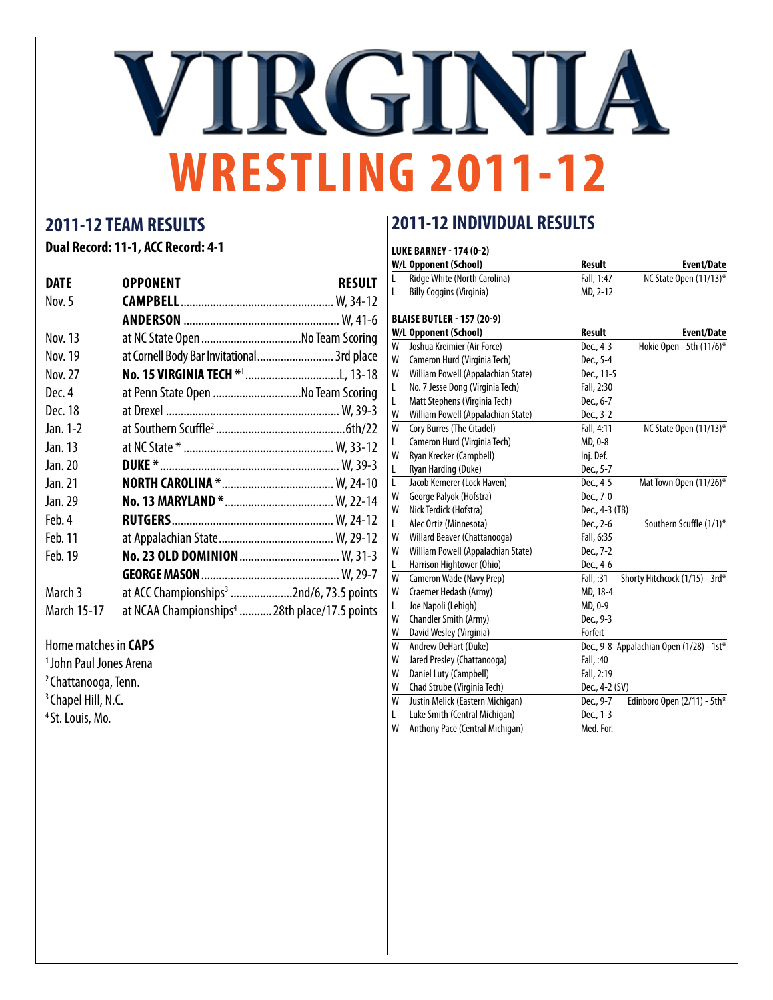# VIRGINIA **WRESTLING 2011-12**

### **2011-12 TEAM RESULTS**

**Dual Record: 11-1, ACC Record: 4-1**

| <b>DATE</b> | <b>OPPONENT</b>                                           | RESULT |
|-------------|-----------------------------------------------------------|--------|
| Nov. 5      |                                                           |        |
|             |                                                           |        |
| Nov. 13     | at NC State Open No Team Scoring                          |        |
| Nov. 19     | at Cornell Body Bar Invitational 3rd place                |        |
| Nov. 27     |                                                           |        |
| Dec. 4      | at Penn State Open No Team Scoring                        |        |
| Dec. 18     |                                                           |        |
| Jan. 1-2    |                                                           |        |
| Jan. 13     |                                                           |        |
| Jan. 20     |                                                           |        |
| Jan. 21     |                                                           |        |
| Jan. 29     |                                                           |        |
| Feb. 4      |                                                           |        |
| Feb. 11     |                                                           |        |
| Feb. 19     |                                                           |        |
|             |                                                           |        |
| March 3     | at ACC Championships <sup>3</sup> 2nd/6, 73.5 points      |        |
| March 15-17 | at NCAA Championships <sup>4</sup> 28th place/17.5 points |        |

Home matches in **CAPS**

- 1 John Paul Jones Arena
- 2 Chattanooga, Tenn.
- <sup>3</sup> Chapel Hill, N.C.
- 4 St. Louis, Mo.

### **2011-12 INDIVIDUAL RESULTS**

#### **luke barney - 174 (0-2)**

|   | \L DAI\I\LI    I / T \V  4 /       |                |                                          |
|---|------------------------------------|----------------|------------------------------------------|
|   | W/L Opponent (School)              | <b>Result</b>  | <b>Event/Date</b>                        |
| L | Ridge White (North Carolina)       | Fall, 1:47     | NC State Open (11/13)*                   |
| L | <b>Billy Coggins (Virginia)</b>    | MD, 2-12       |                                          |
|   |                                    |                |                                          |
|   | <b>BLAISE BUTLER - 157 (20-9)</b>  |                |                                          |
|   | <b>W/L Opponent (School)</b>       | <b>Result</b>  | <b>Event/Date</b>                        |
| W | Joshua Kreimier (Air Force)        | Dec., 4-3      | Hokie Open - 5th (11/6)*                 |
| W | Cameron Hurd (Virginia Tech)       | Dec., 5-4      |                                          |
| W | William Powell (Appalachian State) | Dec., 11-5     |                                          |
| L | No. 7 Jesse Dong (Virginia Tech)   | Fall, 2:30     |                                          |
| L | Matt Stephens (Virginia Tech)      | Dec., 6-7      |                                          |
| W | William Powell (Appalachian State) | Dec., 3-2      |                                          |
| W | Cory Burres (The Citadel)          | Fall, 4:11     | NC State Open (11/13)*                   |
| L | Cameron Hurd (Virginia Tech)       | MD, 0-8        |                                          |
| W | Ryan Krecker (Campbell)            | Inj. Def.      |                                          |
| L | Ryan Harding (Duke)                | Dec., 5-7      |                                          |
| L | Jacob Kemerer (Lock Haven)         | Dec., 4-5      | Mat Town Open (11/26)*                   |
| W | George Palyok (Hofstra)            | Dec., 7-0      |                                          |
| W | Nick Terdick (Hofstra)             | Dec., 4-3 (TB) |                                          |
| L | Alec Ortiz (Minnesota)             | Dec., 2-6      | Southern Scuffle (1/1)*                  |
| W | Willard Beaver (Chattanooga)       | Fall, 6:35     |                                          |
| W | William Powell (Appalachian State) | Dec., 7-2      |                                          |
| L | Harrison Hightower (Ohio)          | Dec., 4-6      |                                          |
| W | Cameron Wade (Navy Prep)           | Fall, :31      | Shorty Hitchcock (1/15) - 3rd*           |
| W | Craemer Hedash (Army)              | MD, 18-4       |                                          |
| L | Joe Napoli (Lehigh)                | MD, 0-9        |                                          |
| W | Chandler Smith (Army)              | Dec., 9-3      |                                          |
| W | David Wesley (Virginia)            | Forfeit        |                                          |
| W | Andrew DeHart (Duke)               |                | Dec., 9-8 Appalachian Open (1/28) - 1st* |
| W | Jared Presley (Chattanooga)        | Fall, :40      |                                          |
| W | Daniel Luty (Campbell)             | Fall, 2:19     |                                          |
| W | Chad Strube (Virginia Tech)        | Dec., 4-2 (SV) |                                          |
| W | Justin Melick (Eastern Michigan)   | Dec., 9-7      | Edinboro Open (2/11) - 5th*              |
| L | Luke Smith (Central Michigan)      | Dec., 1-3      |                                          |
| W | Anthony Pace (Central Michigan)    | Med. For.      |                                          |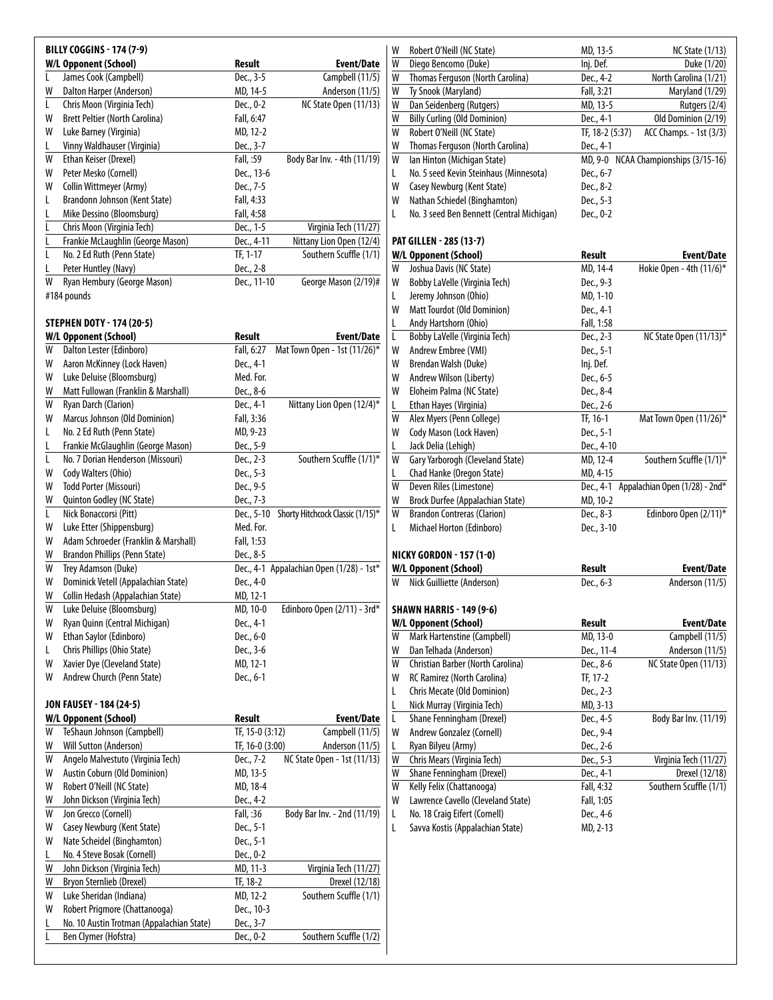|   | <b>BILLY COGGINS - 174 (7-9)</b>          |                 |                                          | Robert O'Neill (NC State)<br>W                 | MD, 13-5        | <b>NC State (1/13)</b>                   |
|---|-------------------------------------------|-----------------|------------------------------------------|------------------------------------------------|-----------------|------------------------------------------|
|   | <b>W/L Opponent (School)</b>              | Result          | Event/Date                               | W<br>Diego Bencomo (Duke)                      | Inj. Def.       | Duke (1/20)                              |
|   | James Cook (Campbell)                     | Dec., 3-5       | Campbell (11/5)                          | Thomas Ferguson (North Carolina)<br>W          | Dec., 4-2       | North Carolina (1/21)                    |
| W | Dalton Harper (Anderson)                  | MD, 14-5        | Anderson (11/5)                          | Ty Snook (Maryland)<br>W                       | Fall, 3:21      | Maryland (1/29)                          |
| L | Chris Moon (Virginia Tech)                | Dec., 0-2       | NC State Open (11/13)                    | W<br>Dan Seidenberg (Rutgers)                  | MD, 13-5        | Rutgers (2/4)                            |
| W | <b>Brett Peltier (North Carolina)</b>     | Fall, 6:47      |                                          | <b>Billy Curling (Old Dominion)</b><br>W       | Dec., 4-1       | Old Dominion (2/19)                      |
| W | Luke Barney (Virginia)                    | MD, 12-2        |                                          | W<br>Robert O'Neill (NC State)                 | TF, 18-2 (5:37) | ACC Champs. - 1st (3/3)                  |
|   |                                           |                 |                                          |                                                |                 |                                          |
|   | Vinny Waldhauser (Virginia)               | Dec., 3-7       |                                          | W<br>Thomas Ferguson (North Carolina)          | Dec., 4-1       |                                          |
| W | Ethan Keiser (Drexel)                     | Fall, :59       | Body Bar Inv. - 4th (11/19)              | Ian Hinton (Michigan State)<br>W               |                 | MD, 9-0 NCAA Championships (3/15-16)     |
| W | Peter Mesko (Cornell)                     | Dec., 13-6      |                                          | No. 5 seed Kevin Steinhaus (Minnesota)<br>L    | Dec., 6-7       |                                          |
| W | Collin Wittmeyer (Army)                   | Dec., 7-5       |                                          | W<br>Casey Newburg (Kent State)                | Dec., 8-2       |                                          |
| L | Brandonn Johnson (Kent State)             | Fall, 4:33      |                                          | Nathan Schiedel (Binghamton)<br>W              | Dec., 5-3       |                                          |
|   | Mike Dessino (Bloomsburg)                 | Fall, 4:58      |                                          | No. 3 seed Ben Bennett (Central Michigan)<br>L | Dec., 0-2       |                                          |
|   | Chris Moon (Virginia Tech)                | Dec., 1-5       | Virginia Tech (11/27)                    |                                                |                 |                                          |
|   | Frankie McLaughlin (George Mason)         | Dec., 4-11      | Nittany Lion Open (12/4)                 | <b>PAT GILLEN - 285 (13-7)</b>                 |                 |                                          |
|   | No. 2 Ed Ruth (Penn State)                | TF, 1-17        | Southern Scuffle (1/1)                   | <b>W/L Opponent (School)</b>                   | Result          | <b>Event/Date</b>                        |
|   | Peter Huntley (Navy)                      | Dec., 2-8       |                                          | Joshua Davis (NC State)<br>W                   | MD, 14-4        | Hokie Open - 4th (11/6)*                 |
| W | Ryan Hembury (George Mason)               | Dec., 11-10     | George Mason (2/19)#                     | Bobby LaVelle (Virginia Tech)<br>W             | Dec., 9-3       |                                          |
|   | #184 pounds                               |                 |                                          | Jeremy Johnson (Ohio)<br>L                     | MD, 1-10        |                                          |
|   |                                           |                 |                                          | W<br>Matt Tourdot (Old Dominion)               | Dec., 4-1       |                                          |
|   | <b>STEPHEN DOTY - 174 (20-5)</b>          |                 |                                          |                                                |                 |                                          |
|   |                                           |                 |                                          | Andy Hartshorn (Ohio)<br>L                     | Fall, 1:58      |                                          |
|   | <b>W/L Opponent (School)</b>              | Result          | <b>Event/Date</b>                        | Bobby LaVelle (Virginia Tech)<br>L             | Dec., 2-3       | NC State Open (11/13)*                   |
| W | Dalton Lester (Edinboro)                  | Fall, 6:27      | Mat Town Open - 1st (11/26)*             | Andrew Embree (VMI)<br>W                       | Dec., 5-1       |                                          |
| W | Aaron McKinney (Lock Haven)               | Dec., 4-1       |                                          | Brendan Walsh (Duke)<br>W                      | Inj. Def.       |                                          |
| W | Luke Deluise (Bloomsburg)                 | Med. For.       |                                          | W<br>Andrew Wilson (Liberty)                   | Dec., 6-5       |                                          |
| W | Matt Fullowan (Franklin & Marshall)       | Dec., 8-6       |                                          | W<br>Eloheim Palma (NC State)                  | Dec., 8-4       |                                          |
| W | Ryan Darch (Clarion)                      | Dec., 4-1       | Nittany Lion Open (12/4)*                | L<br>Ethan Hayes (Virginia)                    | Dec., 2-6       |                                          |
| W | Marcus Johnson (Old Dominion)             | Fall, 3:36      |                                          | W<br>Alex Myers (Penn College)                 | TF, 16-1        | Mat Town Open (11/26)*                   |
| L | No. 2 Ed Ruth (Penn State)                | MD, 9-23        |                                          | W<br>Cody Mason (Lock Haven)                   | Dec., 5-1       |                                          |
|   | Frankie McGlaughlin (George Mason)        | Dec., 5-9       |                                          | Jack Delia (Lehigh)                            | Dec., 4-10      |                                          |
| L | No. 7 Dorian Henderson (Missouri)         | Dec., 2-3       | Southern Scuffle (1/1)*                  | Gary Yarborogh (Cleveland State)<br>W          | MD, 12-4        | Southern Scuffle (1/1)*                  |
| W | Cody Walters (Ohio)                       | Dec., 5-3       |                                          | L<br>Chad Hanke (Oregon State)                 | MD, 4-15        |                                          |
| W | Todd Porter (Missouri)                    | Dec., 9-5       |                                          | W<br>Deven Riles (Limestone)                   |                 | Dec., 4-1 Appalachian Open (1/28) - 2nd* |
|   | Quinton Godley (NC State)                 | Dec., 7-3       |                                          | W<br>Brock Durfee (Appalachian State)          | MD, 10-2        |                                          |
| W |                                           |                 |                                          |                                                |                 |                                          |
|   |                                           |                 |                                          |                                                |                 |                                          |
| L | Nick Bonaccorsi (Pitt)                    | Dec., 5-10      | Shorty Hitchcock Classic (1/15)*         | W<br><b>Brandon Contreras (Clarion)</b>        | Dec., 8-3       | Edinboro Open (2/11)*                    |
| W | Luke Etter (Shippensburg)                 | Med. For.       |                                          | Michael Horton (Edinboro)<br>L                 | Dec., 3-10      |                                          |
| W | Adam Schroeder (Franklin & Marshall)      | Fall, 1:53      |                                          |                                                |                 |                                          |
| W | Brandon Phillips (Penn State)             | Dec., 8-5       |                                          | <b>NICKY GORDON - 157 (1-0)</b>                |                 |                                          |
| W | Trey Adamson (Duke)                       |                 | Dec., 4-1 Appalachian Open (1/28) - 1st* | W/L Opponent (School)                          | Result          | Event/Date                               |
| W | Dominick Vetell (Appalachian State)       | Dec., 4-0       |                                          | W Nick Guilliette (Anderson)                   | Dec., 6-3       | Anderson (11/5)                          |
| W | Collin Hedash (Appalachian State)         | MD, 12-1        |                                          |                                                |                 |                                          |
| W | Luke Deluise (Bloomsburg)                 | MD, 10-0        |                                          | <b>SHAWN HARRIS - 149 (9-6)</b>                |                 |                                          |
| W | Ryan Quinn (Central Michigan)             | Dec., 4-1       | Edinboro Open (2/11) - 3rd*              | <b>W/L Opponent (School)</b>                   | Result          | <b>Event/Date</b>                        |
| W |                                           |                 |                                          | W                                              |                 |                                          |
| L | Ethan Saylor (Edinboro)                   | Dec., 6-0       |                                          | Mark Hartenstine (Campbell)                    | MD, 13-0        | Campbell (11/5)                          |
|   | Chris Phillips (Ohio State)               | Dec., 3-6       |                                          | Dan Telhada (Anderson)<br>W                    | Dec., 11-4      | Anderson (11/5)                          |
| W | Xavier Dye (Cleveland State)              | MD, 12-1        |                                          | W<br>Christian Barber (North Carolina)         | Dec., 8-6       | NC State Open (11/13)                    |
| W | Andrew Church (Penn State)                | Dec., 6-1       |                                          | RC Ramirez (North Carolina)<br>W               | TF, 17-2        |                                          |
|   |                                           |                 |                                          | Chris Mecate (Old Dominion)<br>L               | Dec., 2-3       |                                          |
|   | <b>JON FAUSEY - 184 (24-5)</b>            |                 |                                          | Nick Murray (Virginia Tech)<br>L               | MD, 3-13        |                                          |
|   | <b>W/L Opponent (School)</b>              | Result          | <b>Event/Date</b>                        | Shane Fenningham (Drexel)<br>L                 | Dec., 4-5       | Body Bar Inv. (11/19)                    |
| W | TeShaun Johnson (Campbell)                | TF, 15-0 (3:12) | Campbell (11/5)                          | Andrew Gonzalez (Cornell)<br>W                 | Dec., 9-4       |                                          |
| W | Will Sutton (Anderson)                    | TF, 16-0 (3:00) | Anderson (11/5)                          | L<br>Ryan Bilyeu (Army)                        | Dec., 2-6       |                                          |
| W | Angelo Malvestuto (Virginia Tech)         | Dec., 7-2       | NC State Open - 1st (11/13)              | W<br>Chris Mears (Virginia Tech)               | Dec., 5-3       | Virginia Tech (11/27)                    |
| W | Austin Coburn (Old Dominion)              | MD, 13-5        |                                          | Shane Fenningham (Drexel)<br>W                 | Dec., 4-1       | Drexel (12/18)                           |
| W | Robert O'Neill (NC State)                 | MD, 18-4        |                                          | W<br>Kelly Felix (Chattanooga)                 | Fall, 4:32      | Southern Scuffle (1/1)                   |
| W | John Dickson (Virginia Tech)              | Dec., 4-2       |                                          | Lawrence Cavello (Cleveland State)<br>W        | Fall, 1:05      |                                          |
| W | Jon Grecco (Cornell)                      | Fall, :36       | Body Bar Inv. - 2nd (11/19)              | No. 18 Craig Eifert (Cornell)<br>L             | Dec., 4-6       |                                          |
| W | Casey Newburg (Kent State)                | Dec., 5-1       |                                          | Savva Kostis (Appalachian State)<br>L          | MD, 2-13        |                                          |
| W | Nate Scheidel (Binghamton)                | Dec., 5-1       |                                          |                                                |                 |                                          |
|   |                                           |                 |                                          |                                                |                 |                                          |
|   | No. 4 Steve Bosak (Cornell)               | Dec., 0-2       |                                          |                                                |                 |                                          |
| W | John Dickson (Virginia Tech)              | MD, 11-3        | Virginia Tech (11/27)                    |                                                |                 |                                          |
| W | Bryon Sternlieb (Drexel)                  | TF, 18-2        | Drexel (12/18)                           |                                                |                 |                                          |
| W | Luke Sheridan (Indiana)                   | MD, 12-2        | Southern Scuffle (1/1)                   |                                                |                 |                                          |
| W | Robert Prigmore (Chattanooga)             | Dec., 10-3      |                                          |                                                |                 |                                          |
|   | No. 10 Austin Trotman (Appalachian State) | Dec., 3-7       |                                          |                                                |                 |                                          |
|   | Ben Clymer (Hofstra)                      | Dec., 0-2       | Southern Scuffle (1/2)                   |                                                |                 |                                          |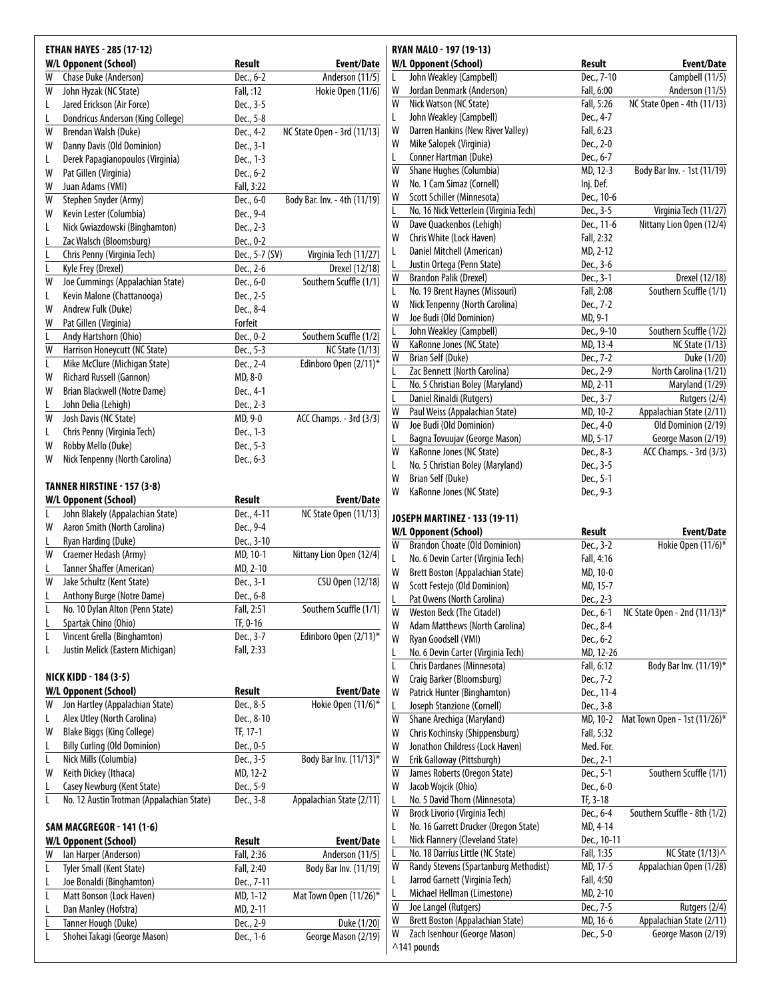| W      | <b>W/L Opponent (School)</b>                                | Result                | Event/Date                                                                                             |
|--------|-------------------------------------------------------------|-----------------------|--------------------------------------------------------------------------------------------------------|
|        | Chase Duke (Anderson)                                       | Dec., 6-2             | Anderson (11/5)                                                                                        |
| W      | John Hyzak (NC State)                                       | Fall, :12             | Hokie Open (11/6)                                                                                      |
| L      | Jared Erickson (Air Force)                                  | Dec., 3-5             |                                                                                                        |
|        | Dondricus Anderson (King College)                           | Dec., 5-8             |                                                                                                        |
|        | Brendan Walsh (Duke)                                        | Dec., 4-2             | NC State Open - 3rd (11/13)                                                                            |
| W      | Danny Davis (Old Dominion)                                  | Dec., 3-1             |                                                                                                        |
|        | Derek Papagianopoulos (Virginia)                            | Dec., 1-3             |                                                                                                        |
| W      | Pat Gillen (Virginia)                                       | Dec., 6-2             |                                                                                                        |
| W      | Juan Adams (VMI)                                            | Fall, 3:22            |                                                                                                        |
| W      | Stephen Snyder (Army)                                       | Dec., 6-0             | Body Bar. Inv. - 4th (11/19)                                                                           |
| W      | Kevin Lester (Columbia)                                     | Dec., 9-4             |                                                                                                        |
|        | Nick Gwiazdowski (Binghamton)                               | Dec., 2-3             |                                                                                                        |
|        | Zac Walsch (Bloomsburg)                                     | Dec., 0-2             |                                                                                                        |
|        | Chris Penny (Virginia Tech)                                 | Dec., 5-7 (SV)        | Virginia Tech (11/27)                                                                                  |
|        | Kyle Frey (Drexel)                                          | Dec., 2-6             | Drexel (12/18)                                                                                         |
| W      | Joe Cummings (Appalachian State)                            | Dec., 6-0             | Southern Scuffle (1/1)                                                                                 |
|        | Kevin Malone (Chattanooga)                                  | Dec., 2-5             |                                                                                                        |
| W      | Andrew Fulk (Duke)                                          | Dec., 8-4             |                                                                                                        |
| W      | Pat Gillen (Virginia)                                       | Forfeit               |                                                                                                        |
|        | Andy Hartshorn (Ohio)                                       | Dec., 0-2             | Southern Scuffle (1/2)                                                                                 |
| W      | Harrison Honeycutt (NC State)                               | Dec., 5-3             | <b>NC State (1/13)</b>                                                                                 |
|        | Mike McClure (Michigan State)                               | Dec., 2-4             | Edinboro Open (2/11)*                                                                                  |
| W      | Richard Russell (Gannon)                                    | MD, 8-0               |                                                                                                        |
| W      | Brian Blackwell (Notre Dame)                                | Dec., 4-1             |                                                                                                        |
|        | John Delia (Lehigh)                                         | Dec., 2-3             |                                                                                                        |
| W      | Josh Davis (NC State)                                       | MD, 9-0               | ACC Champs. - 3rd (3/3)                                                                                |
|        | Chris Penny (Virginia Tech)                                 | Dec., 1-3             |                                                                                                        |
| W      | Robby Mello (Duke)                                          | Dec., 5-3             |                                                                                                        |
|        | TANNER HIRSTINE - 157 (3-8)<br><b>W/L Opponent (School)</b> | Result                | Event/Date                                                                                             |
|        | John Blakely (Appalachian State)                            | Dec., 4-11            | NC State Open (11/13)                                                                                  |
| W      | Aaron Smith (North Carolina)                                | Dec., 9-4             |                                                                                                        |
|        | Ryan Harding (Duke)                                         | Dec., 3-10            |                                                                                                        |
| W      | Craemer Hedash (Army)                                       | MD, 10-1              | Nittany Lion Open (12/4)                                                                               |
| W      | Tanner Shaffer (American)                                   | MD, 2-10              |                                                                                                        |
|        | Jake Schultz (Kent State)                                   | Dec., 3-1             | CSU Open (12/18)                                                                                       |
|        | Anthony Burge (Notre Dame)                                  | Dec., 6-8             |                                                                                                        |
|        | No. 10 Dylan Alton (Penn State)                             | Fall, 2:51            | Southern Scuffle (1/1)                                                                                 |
|        | Spartak Chino (Ohio)                                        | TF, 0-16              |                                                                                                        |
|        | Vincent Grella (Binghamton)                                 | Dec., 3-7             | Edinboro Open (2/11)*                                                                                  |
|        | Justin Melick (Eastern Michigan)                            | Fall, 2:33            |                                                                                                        |
|        | NICK KIDD - 184 (3-5)                                       |                       |                                                                                                        |
| W      | W/L Opponent (School)                                       | Result                | <b>Event/Date</b>                                                                                      |
|        | Jon Hartley (Appalachian State)                             | Dec., 8-5             | Hokie Open (11/6)*                                                                                     |
|        | Alex Utley (North Carolina)                                 | Dec., 8-10            |                                                                                                        |
| W      | <b>Blake Biggs (King College)</b>                           | TF, 17-1              |                                                                                                        |
|        | <b>Billy Curling (Old Dominion)</b>                         | Dec., 0-5             |                                                                                                        |
|        | Nick Mills (Columbia)                                       | Dec., 3-5             | Body Bar Inv. (11/13)*                                                                                 |
|        | Keith Dickey (Ithaca)                                       | MD, 12-2              |                                                                                                        |
|        |                                                             |                       |                                                                                                        |
|        | Casey Newburg (Kent State)                                  | Dec., 5-9             |                                                                                                        |
|        | No. 12 Austin Trotman (Appalachian State)                   | Dec., 3-8             | Appalachian State (2/11)                                                                               |
|        | <b>SAM MACGREGOR - 141 (1-6)</b>                            |                       |                                                                                                        |
|        | W/L Opponent (School)                                       | Result                |                                                                                                        |
|        | Ian Harper (Anderson)                                       | Fall, 2:36            |                                                                                                        |
|        | Tyler Small (Kent State)                                    | Fall, 2:40            |                                                                                                        |
|        | Joe Bonaldi (Binghamton)                                    | Dec., 7-11            |                                                                                                        |
|        | Matt Bonson (Lock Haven)                                    | MD, 1-12              |                                                                                                        |
| W<br>W | Dan Manley (Hofstra)<br>Tanner Hough (Duke)                 | MD, 2-11<br>Dec., 2-9 | <b>Event/Date</b><br>Anderson (11/5)<br>Body Bar Inv. (11/19)<br>Mat Town Open (11/26)*<br>Duke (1/20) |

|        | RYAN MALO - 197 (19-13)                     |             |                              |
|--------|---------------------------------------------|-------------|------------------------------|
|        | W/L Opponent (School)                       | Result      | <b>Event/Date</b>            |
| L      | John Weakley (Campbell)                     | Dec., 7-10  | Campbell (11/5)              |
| W      | Jordan Denmark (Anderson)                   | Fall, 6:00  | Anderson (11/5)              |
| W      | Nick Watson (NC State)                      | Fall, 5:26  | NC State Open - 4th (11/13)  |
| L      | John Weakley (Campbell)                     | Dec., 4-7   |                              |
| W      | Darren Hankins (New River Valley)           | Fall, 6:23  |                              |
| W      | Mike Salopek (Virginia)                     | Dec., 2-0   |                              |
| L      | Conner Hartman (Duke)                       | Dec., 6-7   |                              |
| W      | Shane Hughes (Columbia)                     | MD, 12-3    | Body Bar Inv. - 1st (11/19)  |
| W      | No. 1 Cam Simaz (Cornell)                   | Inj. Def.   |                              |
| W      | Scott Schiller (Minnesota)                  | Dec., 10-6  |                              |
| L      | No. 16 Nick Vetterlein (Virginia Tech)      | Dec., 3-5   | Virginia Tech (11/27)        |
| W      | Dave Quackenbos (Lehigh)                    | Dec., 11-6  | Nittany Lion Open (12/4)     |
| W      | Chris White (Lock Haven)                    | Fall, 2:32  |                              |
| L      | Daniel Mitchell (American)                  | MD, 2-12    |                              |
| L      |                                             | Dec., 3-6   |                              |
|        | Justin Ortega (Penn State)                  |             |                              |
| W      | <b>Brandon Palik (Drexel)</b>               | Dec., 3-1   | Drexel (12/18)               |
| L      | No. 19 Brent Haynes (Missouri)              | Fall, 2:08  | Southern Scuffle (1/1)       |
| W      | Nick Tenpenny (North Carolina)              | Dec., 7-2   |                              |
| W      | Joe Budi (Old Dominion)                     | MD, 9-1     |                              |
| L      | John Weakley (Campbell)                     | Dec., 9-10  | Southern Scuffle (1/2)       |
| W      | KaRonne Jones (NC State)                    | MD, 13-4    | <b>NC State (1/13)</b>       |
| W      | Brian Self (Duke)                           | Dec., 7-2   | Duke (1/20)                  |
| L      | Zac Bennett (North Carolina)                | Dec., 2-9   | North Carolina (1/21)        |
| L      | No. 5 Christian Boley (Maryland)            | MD, 2-11    | Maryland (1/29)              |
| L      | Daniel Rinaldi (Rutgers)                    | Dec., 3-7   | Rutgers (2/4)                |
| W      | Paul Weiss (Appalachian State)              | MD, 10-2    | Appalachian State (2/11)     |
| W      | Joe Budi (Old Dominion)                     | Dec., 4-0   | Old Dominion (2/19)          |
| L      | Bagna Tovuujav (George Mason)               | MD, 5-17    | George Mason (2/19)          |
| W      |                                             |             |                              |
|        | KaRonne Jones (NC State)                    | Dec., 8-3   | ACC Champs. - 3rd (3/3)      |
| L      | No. 5 Christian Boley (Maryland)            | Dec., 3-5   |                              |
| W      | Brian Self (Duke)                           | Dec., 5-1   |                              |
| W      | KaRonne Jones (NC State)                    | Dec., 9-3   |                              |
|        |                                             |             |                              |
|        |                                             |             |                              |
|        | JOSEPH MARTINEZ - 133 (19-11)               |             |                              |
|        | W/L Opponent (School)                       | Result      | Event/Date                   |
| W      | <b>Brandon Choate (Old Dominion)</b>        | Dec., 3-2   | Hokie Open (11/6)*           |
| L      | No. 6 Devin Carter (Virginia Tech)          | Fall, 4:16  |                              |
| W      | <b>Brett Boston (Appalachian State)</b>     | MD, 10-0    |                              |
| W      | Scott Festejo (Old Dominion)                | MD, 15-7    |                              |
| L      | Pat Owens (North Carolina)                  | Dec., 2-3   |                              |
| W      | <b>Weston Beck (The Citadel)</b>            | Dec., 6-1   | NC State Open - 2nd (11/13)* |
| W      | Adam Matthews (North Carolina)              | Dec., 8-4   |                              |
| W      | Ryan Goodsell (VMI)                         | Dec., 6-2   |                              |
| L      | No. 6 Devin Carter (Virginia Tech)          | MD, 12-26   |                              |
|        |                                             |             |                              |
| L      | Chris Dardanes (Minnesota)                  | Fall, 6:12  | Body Bar Inv. (11/19)*       |
| W      | Craig Barker (Bloomsburg)                   | Dec., 7-2   |                              |
| W      | Patrick Hunter (Binghamton)                 | Dec., 11-4  |                              |
| L      | Joseph Stanzione (Cornell)                  | Dec., 3-8   |                              |
| W      | Shane Arechiga (Maryland)                   | MD, 10-2    | Mat Town Open - 1st (11/26)* |
| W      | Chris Kochinsky (Shippensburg)              | Fall, 5:32  |                              |
| W      | Jonathon Childress (Lock Haven)             | Med. For.   |                              |
| W      | Erik Galloway (Pittsburgh)                  | Dec., 2-1   |                              |
| W      | James Roberts (Oregon State)                | Dec., 5-1   | Southern Scuffle (1/1)       |
| W      | Jacob Wojcik (Ohio)                         | Dec., 6-0   |                              |
| L      | No. 5 David Thorn (Minnesota)               | TF, 3-18    |                              |
| W      | Brock Livorio (Virginia Tech)               | Dec., 6-4   | Southern Scuffle - 8th (1/2) |
| L      | No. 16 Garrett Drucker (Oregon State)       | MD, 4-14    |                              |
|        |                                             |             |                              |
| L<br>L | Nick Flannery (Cleveland State)             | Dec., 10-11 |                              |
|        | No. 18 Darrius Little (NC State)            | Fall, 1:35  | NC State (1/13) ^            |
| W      | Randy Stevens (Spartanburg Methodist)       | MD, 17-5    | Appalachian Open (1/28)      |
| L      | Jarrod Garnett (Virginia Tech)              | Fall, 4:50  |                              |
| L      | Michael Hellman (Limestone)                 | MD, 2-10    |                              |
| W      | Joe Langel (Rutgers)                        | Dec., 7-5   | Rutgers (2/4)                |
| W      | Brett Boston (Appalachian State)            | MD, 16-6    | Appalachian State (2/11)     |
| W      | Zach Isenhour (George Mason)<br>^141 pounds | Dec., 5-0   | George Mason (2/19)          |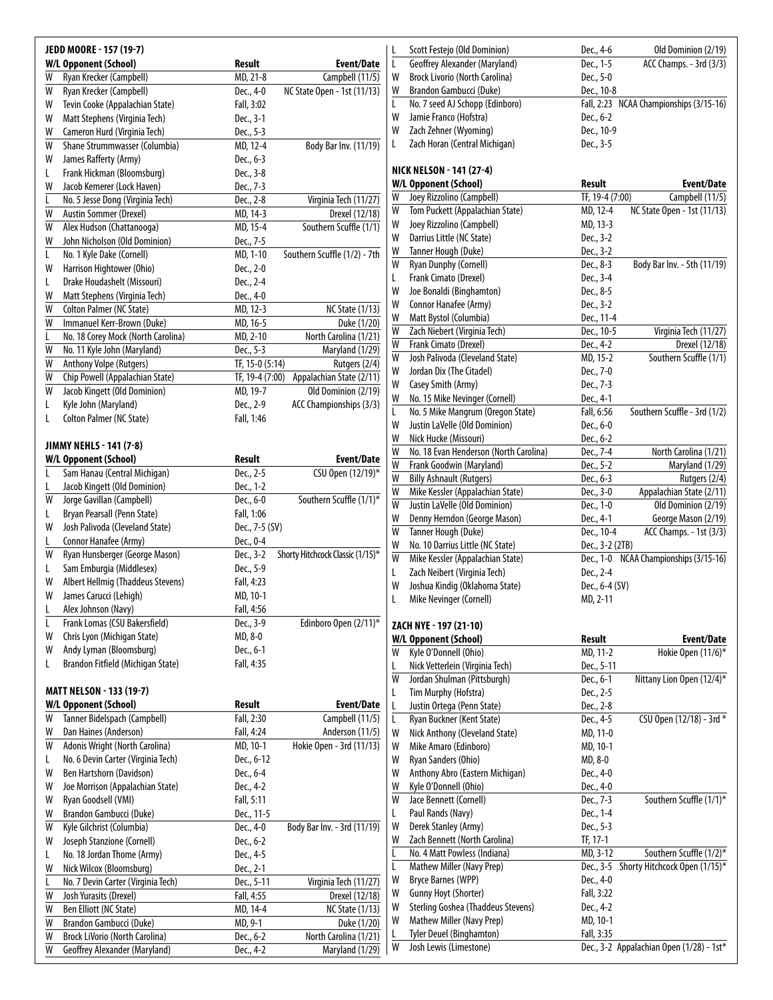|   | JEDD MOORE - 157 (19-7)               |                 |                                  | Scott Festejo (Old Dominion)<br>L           | Dec., 4-6       | Old Dominion (2/19)                      |
|---|---------------------------------------|-----------------|----------------------------------|---------------------------------------------|-----------------|------------------------------------------|
|   | W/L Opponent (School)                 | Result          | Event/Date                       | L<br>Geoffrey Alexander (Maryland)          | Dec., 1-5       | ACC Champs. - 3rd (3/3)                  |
| W | Ryan Krecker (Campbell)               | MD, 21-8        | Campbell (11/5)                  | W<br><b>Brock Livorio (North Carolina)</b>  | Dec., 5-0       |                                          |
|   | Ryan Krecker (Campbell)               | Dec., 4-0       | NC State Open - 1st (11/13)      | W<br>Brandon Gambucci (Duke)                | Dec., 10-8      |                                          |
| W |                                       |                 |                                  |                                             |                 |                                          |
| W | Tevin Cooke (Appalachian State)       | Fall, 3:02      |                                  | No. 7 seed AJ Schopp (Edinboro)<br>L        |                 | Fall, 2:23 NCAA Championships (3/15-16)  |
| W | Matt Stephens (Virginia Tech)         | Dec., 3-1       |                                  | W<br>Jamie Franco (Hofstra)                 | Dec., 6-2       |                                          |
| W | Cameron Hurd (Virginia Tech)          | Dec., 5-3       |                                  | W<br>Zach Zehner (Wyoming)                  | Dec., 10-9      |                                          |
| W | Shane Strummwasser (Columbia)         | MD, 12-4        | Body Bar Inv. (11/19)            | Zach Horan (Central Michigan)<br>L          | Dec., 3-5       |                                          |
| W | James Rafferty (Army)                 | Dec., 6-3       |                                  |                                             |                 |                                          |
| L | Frank Hickman (Bloomsburg)            | Dec., 3-8       |                                  | <b>NICK NELSON - 141 (27-4)</b>             |                 |                                          |
| W | Jacob Kemerer (Lock Haven)            | Dec., 7-3       |                                  | W/L Opponent (School)                       | Result          | Event/Date                               |
|   |                                       |                 |                                  | Joey Rizzolino (Campbell)<br>W              | TF, 19-4 (7:00) | Campbell (11/5)                          |
|   | No. 5 Jesse Dong (Virginia Tech)      | Dec., 2-8       | Virginia Tech (11/27)            |                                             |                 |                                          |
| W | Austin Sommer (Drexel)                | MD, 14-3        | Drexel (12/18)                   | W<br>Tom Puckett (Appalachian State)        | MD, 12-4        | NC State Open - 1st (11/13)              |
| W | Alex Hudson (Chattanooga)             | MD, 15-4        | Southern Scuffle (1/1)           | W<br>Joey Rizzolino (Campbell)              | MD, 13-3        |                                          |
| W | John Nicholson (Old Dominion)         | Dec., 7-5       |                                  | W<br>Darrius Little (NC State)              | Dec., 3-2       |                                          |
| L | No. 1 Kyle Dake (Cornell)             | MD, 1-10        | Southern Scuffle (1/2) - 7th     | W<br>Tanner Hough (Duke)                    | Dec., 3-2       |                                          |
|   |                                       |                 |                                  | W<br><b>Ryan Dunphy (Cornell)</b>           | Dec., 8-3       | Body Bar Inv. - 5th (11/19)              |
| W | Harrison Hightower (Ohio)             | Dec., 2-0       |                                  | Frank Cimato (Drexel)<br>L                  | Dec., 3-4       |                                          |
| L | Drake Houdashelt (Missouri)           | Dec., 2-4       |                                  | W<br>Joe Bonaldi (Binghamton)               | Dec., 8-5       |                                          |
| W | Matt Stephens (Virginia Tech)         | Dec., 4-0       |                                  |                                             |                 |                                          |
| W | Colton Palmer (NC State)              | MD, 12-3        | <b>NC State (1/13)</b>           | Connor Hanafee (Army)<br>W                  | Dec., 3-2       |                                          |
| W | Immanuel Kerr-Brown (Duke)            | MD, 16-5        | Duke (1/20)                      | W<br>Matt Bystol (Columbia)                 | Dec., 11-4      |                                          |
|   | No. 18 Corey Mock (North Carolina)    | MD, 2-10        | North Carolina (1/21)            | W<br>Zach Niebert (Virginia Tech)           | Dec., 10-5      | Virginia Tech (11/27)                    |
|   |                                       |                 |                                  | W<br>Frank Cimato (Drexel)                  | Dec., 4-2       | Drexel (12/18)                           |
| W | No. 11 Kyle John (Maryland)           | Dec., 5-3       | Maryland (1/29)                  | W<br>Josh Palivoda (Cleveland State)        | MD, 15-2        | Southern Scuffle (1/1)                   |
| W | Anthony Volpe (Rutgers)               | TF, 15-0 (5:14) | Rutgers (2/4)                    | W<br>Jordan Dix (The Citadel)               | Dec., 7-0       |                                          |
| W | Chip Powell (Appalachian State)       | TF, 19-4 (7:00) | Appalachian State (2/11)         |                                             |                 |                                          |
| W | Jacob Kingett (Old Dominion)          | MD, 19-7        | Old Dominion (2/19)              | W<br>Casey Smith (Army)                     | Dec., 7-3       |                                          |
| L | Kyle John (Maryland)                  | Dec., 2-9       | ACC Championships (3/3)          | W<br>No. 15 Mike Nevinger (Cornell)         | Dec., 4-1       |                                          |
| L | Colton Palmer (NC State)              | Fall, 1:46      |                                  | L<br>No. 5 Mike Mangrum (Oregon State)      | Fall, 6:56      | Southern Scuffle - 3rd (1/2)             |
|   |                                       |                 |                                  | W<br>Justin LaVelle (Old Dominion)          | Dec., 6-0       |                                          |
|   |                                       |                 |                                  | W<br>Nick Hucke (Missouri)                  | Dec., 6-2       |                                          |
|   | JIMMY NEHLS - 141 (7-8)               |                 |                                  | W<br>No. 18 Evan Henderson (North Carolina) | Dec., 7-4       | North Carolina (1/21)                    |
|   | <b>W/L Opponent (School)</b>          | Result          | <b>Event/Date</b>                | W<br>Frank Goodwin (Maryland)               | Dec., 5-2       | Maryland (1/29)                          |
|   | Sam Hanau (Central Michigan)          | Dec., 2-5       | CSU Open (12/19)*                |                                             |                 |                                          |
|   | Jacob Kingett (Old Dominion)          | Dec., 1-2       |                                  | W<br><b>Billy Ashnault (Rutgers)</b>        | Dec., 6-3       | Rutgers (2/4)                            |
| W | Jorge Gavillan (Campbell)             | Dec., 6-0       | Southern Scuffle (1/1)*          | W<br>Mike Kessler (Appalachian State)       | Dec., 3-0       | Appalachian State (2/11)                 |
| L | Bryan Pearsall (Penn State)           | Fall, 1:06      |                                  | W<br>Justin LaVelle (Old Dominion)          | Dec., 1-0       | Old Dominion (2/19)                      |
|   |                                       |                 |                                  | W<br>Denny Herndon (George Mason)           | Dec., 4-1       | George Mason (2/19)                      |
| W | Josh Palivoda (Cleveland State)       | Dec., 7-5 (SV)  |                                  | Tanner Hough (Duke)<br>W                    | Dec., 10-4      | ACC Champs. - 1st (3/3)                  |
| L | Connor Hanafee (Army)                 | Dec., 0-4       |                                  | No. 10 Darrius Little (NC State)<br>W       | Dec., 3-2 (2TB) |                                          |
| W | Ryan Hunsberger (George Mason)        | Dec., 3-2       | Shorty Hitchcock Classic (1/15)* | W<br>Mike Kessler (Appalachian State)       |                 | Dec., 1-0 NCAA Championships (3/15-16)   |
| L | Sam Emburgia (Middlesex)              | Dec., 5-9       |                                  |                                             |                 |                                          |
| W | Albert Hellmig (Thaddeus Stevens)     | Fall, 4:23      |                                  | Zach Neibert (Virginia Tech)<br>L           | Dec., 2-4       |                                          |
| W |                                       |                 |                                  | W<br>Joshua Kindig (Oklahoma State)         | Dec., 6-4 (SV)  |                                          |
|   | James Carucci (Lehigh)                | MD, 10-1        |                                  | Mike Nevinger (Cornell)<br>L                | MD, 2-11        |                                          |
|   | Alex Johnson (Navy)                   | Fall, 4:56      |                                  |                                             |                 |                                          |
| L | Frank Lomas (CSU Bakersfield)         | Dec., 3-9       | Edinboro Open (2/11)*            | ZACH NYE - 197 (21-10)                      |                 |                                          |
| W | Chris Lyon (Michigan State)           | MD, 8-0         |                                  | <b>W/L Opponent (School)</b>                | Result          | <b>Event/Date</b>                        |
| W | Andy Lyman (Bloomsburg)               | Dec., 6-1       |                                  | Kyle O'Donnell (Ohio)<br>W                  | MD, 11-2        | Hokie Open (11/6)*                       |
| L | Brandon Fitfield (Michigan State)     | Fall, 4:35      |                                  |                                             |                 |                                          |
|   |                                       |                 |                                  | Nick Vetterlein (Virginia Tech)<br>L        | Dec., 5-11      |                                          |
|   |                                       |                 |                                  | W<br>Jordan Shulman (Pittsburgh)            | Dec., 6-1       | Nittany Lion Open (12/4)*                |
|   | <b>MATT NELSON - 133 (19-7)</b>       |                 |                                  | L<br>Tim Murphy (Hofstra)                   | Dec., 2-5       |                                          |
|   | <b>W/L Opponent (School)</b>          | Result          | <b>Event/Date</b>                | Justin Ortega (Penn State)<br>L             | Dec., 2-8       |                                          |
| W | Tanner Bidelspach (Campbell)          | Fall, 2:30      | Campbell (11/5)                  | Ryan Buckner (Kent State)<br>L              | Dec., 4-5       | CSU Open (12/18) - 3rd *                 |
| W | Dan Haines (Anderson)                 | Fall, 4:24      | Anderson (11/5)                  | W<br>Nick Anthony (Cleveland State)         | MD, 11-0        |                                          |
| W | Adonis Wright (North Carolina)        | MD, 10-1        | Hokie Open - 3rd (11/13)         | Mike Amaro (Edinboro)<br>W                  |                 |                                          |
|   |                                       |                 |                                  |                                             | MD, 10-1        |                                          |
| L | No. 6 Devin Carter (Virginia Tech)    | Dec., 6-12      |                                  | W<br>Ryan Sanders (Ohio)                    | MD, 8-0         |                                          |
| W | Ben Hartshorn (Davidson)              | Dec., 6-4       |                                  | Anthony Abro (Eastern Michigan)<br>W        | Dec., 4-0       |                                          |
| W | Joe Morrison (Appalachian State)      | Dec., 4-2       |                                  | W<br>Kyle O'Donnell (Ohio)                  | Dec., 4-0       |                                          |
| W | Ryan Goodsell (VMI)                   | Fall, 5:11      |                                  | W<br>Jace Bennett (Cornell)                 | Dec., 7-3       | Southern Scuffle (1/1)*                  |
| W | Brandon Gambucci (Duke)               | Dec., 11-5      |                                  | Paul Rands (Navy)<br>L                      | Dec., 1-4       |                                          |
|   |                                       |                 |                                  |                                             |                 |                                          |
| W | Kyle Gilchrist (Columbia)             | Dec., 4-0       | Body Bar Inv. - 3rd (11/19)      | W<br>Derek Stanley (Army)                   | Dec., 5-3       |                                          |
| W | Joseph Stanzione (Cornell)            | Dec., 6-2       |                                  | W<br>Zach Bennett (North Carolina)          | TF, 17-1        |                                          |
| L | No. 18 Jordan Thome (Army)            | Dec., 4-5       |                                  | No. 4 Matt Powless (Indiana)<br>L           | MD, 3-12        | Southern Scuffle (1/2)*                  |
| W | Nick Wilcox (Bloomsburg)              | Dec., 2-1       |                                  | L<br>Mathew Miller (Navy Prep)              |                 | Dec., 3-5 Shorty Hitchcock Open (1/15)*  |
|   | No. 7 Devin Carter (Virginia Tech)    | Dec., 5-11      | Virginia Tech (11/27)            | W<br>Bryce Barnes (WPP)                     | Dec., 4-0       |                                          |
|   |                                       |                 |                                  | Gunny Hoyt (Shorter)<br>W                   | Fall, 3:22      |                                          |
| W | Josh Yurasits (Drexel)                | Fall, 4:55      | Drexel (12/18)                   | W                                           |                 |                                          |
| W | Ben Elliott (NC State)                | MD, 14-4        | <b>NC State (1/13)</b>           | <b>Sterling Goshea (Thaddeus Stevens)</b>   | Dec., 4-2       |                                          |
| W | Brandon Gambucci (Duke)               | MD, 9-1         | Duke (1/20)                      | W<br>Mathew Miller (Navy Prep)              | MD, 10-1        |                                          |
| W | <b>Brock LiVorio (North Carolina)</b> | Dec., 6-2       | North Carolina (1/21)            | Tyler Deuel (Binghamton)<br>L               | Fall, 3:35      |                                          |
| W | Geoffrey Alexander (Maryland)         | Dec., 4-2       | Maryland (1/29)                  | W<br>Josh Lewis (Limestone)                 |                 | Dec., 3-2 Appalachian Open (1/28) - 1st* |
|   |                                       |                 |                                  |                                             |                 |                                          |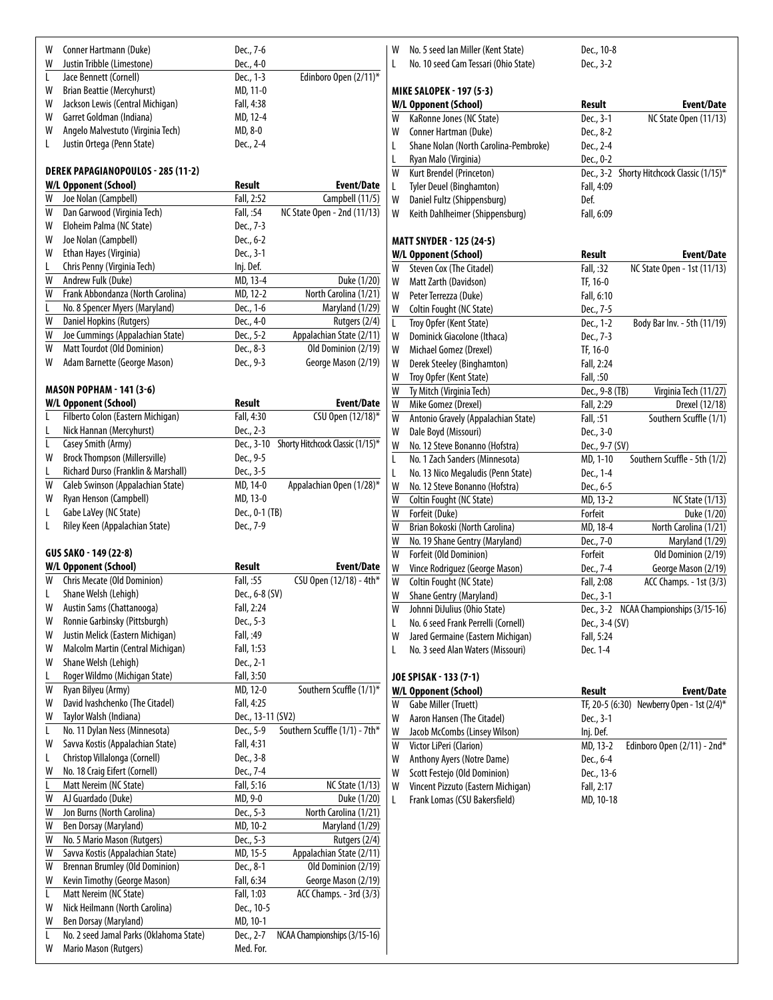| W | Conner Hartmann (Duke)                    | Dec., 7-6         |                                  |
|---|-------------------------------------------|-------------------|----------------------------------|
| W | Justin Tribble (Limestone)                | Dec., 4-0         |                                  |
| L | Jace Bennett (Cornell)                    | Dec., 1-3         | Edinboro Open (2/11)*            |
| W | Brian Beattie (Mercyhurst)                | MD, 11-0          |                                  |
| W | Jackson Lewis (Central Michigan)          | Fall, 4:38        |                                  |
| W | Garret Goldman (Indiana)                  | MD, 12-4          |                                  |
| W | Angelo Malvestuto (Virginia Tech)         | MD, 8-0           |                                  |
| L | Justin Ortega (Penn State)                | Dec., 2-4         |                                  |
|   | <b>DEREK PAPAGIANOPOULOS - 285 (11-2)</b> |                   |                                  |
|   | <b>W/L Opponent (School)</b>              | Result            | Event/Date                       |
| W | Joe Nolan (Campbell)                      | Fall, 2:52        | Campbell (11/5)                  |
| W | Dan Garwood (Virginia Tech)               | Fall, :54         | NC State Open - 2nd (11/13)      |
| W | Eloheim Palma (NC State)                  | Dec., 7-3         |                                  |
| W | Joe Nolan (Campbell)                      | Dec., 6-2         |                                  |
| W | Ethan Hayes (Virginia)                    | Dec., 3-1         |                                  |
| L | Chris Penny (Virginia Tech)               | Inj. Def.         |                                  |
| W | Andrew Fulk (Duke)                        | MD, 13-4          | Duke (1/20)                      |
| W | Frank Abbondanza (North Carolina)         | MD, 12-2          | North Carolina (1/21)            |
| L |                                           |                   |                                  |
|   | No. 8 Spencer Myers (Maryland)            | Dec., 1-6         | Maryland (1/29)                  |
| W | Daniel Hopkins (Rutgers)                  | Dec., 4-0         | Rutgers (2/4)                    |
| W | Joe Cummings (Appalachian State)          | Dec., 5-2         | Appalachian State (2/11)         |
| W | Matt Tourdot (Old Dominion)               | Dec., 8-3         | Old Dominion (2/19)              |
| W | Adam Barnette (George Mason)              | Dec., 9-3         | George Mason (2/19)              |
|   | <b>MASON POPHAM - 141 (3-6)</b>           |                   |                                  |
|   | <b>W/L Opponent (School)</b>              | Result            | Event/Date                       |
| L | Filberto Colon (Eastern Michigan)         | Fall, 4:30        | CSU Open (12/18)*                |
| L | Nick Hannan (Mercyhurst)                  | Dec., 2-3         |                                  |
| L | Casey Smith (Army)                        | Dec., 3-10        | Shorty Hitchcock Classic (1/15)* |
| W | <b>Brock Thompson (Millersville)</b>      | Dec., 9-5         |                                  |
| L | Richard Durso (Franklin & Marshall)       | Dec., 3-5         |                                  |
| W | Caleb Swinson (Appalachian State)         | MD, 14-0          | Appalachian Open (1/28)*         |
| W | Ryan Henson (Campbell)                    | MD, 13-0          |                                  |
| L | Gabe LaVey (NC State)                     | Dec., 0-1 (TB)    |                                  |
| L | Riley Keen (Appalachian State)            | Dec., 7-9         |                                  |
|   | GUS SAKO - 149 (22-8)                     |                   |                                  |
|   | W/L Opponent (School)                     | <b>Result</b>     | <b>Event/Date</b>                |
| W | <b>Chris Mecate (Old Dominion)</b>        | Fall, :55         | CSU Open (12/18) - 4th*          |
| L | Shane Welsh (Lehigh)                      | Dec., 6-8 (SV)    |                                  |
|   |                                           |                   |                                  |
| W | Austin Sams (Chattanooga)                 | Fall, 2:24        |                                  |
| W | Ronnie Garbinsky (Pittsburgh)             | Dec., 5-3         |                                  |
| W | Justin Melick (Eastern Michigan)          | Fall, :49         |                                  |
| W | Malcolm Martin (Central Michigan)         | Fall, 1:53        |                                  |
| W | Shane Welsh (Lehigh)                      | Dec., 2-1         |                                  |
| L | Roger Wildmo (Michigan State)             | Fall, 3:50        |                                  |
| W | Ryan Bilyeu (Army)                        | MD, 12-0          | Southern Scuffle (1/1)*          |
| W | David Ivashchenko (The Citadel)           | Fall, 4:25        |                                  |
| W | Taylor Walsh (Indiana)                    | Dec., 13-11 (SV2) |                                  |
| L | No. 11 Dylan Ness (Minnesota)             | Dec., 5-9         | Southern Scuffle (1/1) - 7th*    |
| W | Savva Kostis (Appalachian State)          | Fall, 4:31        |                                  |
| Г | Christop Villalonga (Cornell)             | Dec., 3-8         |                                  |
| W | No. 18 Craig Eifert (Cornell)             | Dec., 7-4         |                                  |
| Г |                                           |                   |                                  |
|   | Matt Nereim (NC State)                    | Fall, 5:16        | <b>NC State (1/13)</b>           |
| W | AJ Guardado (Duke)                        | MD, 9-0           | Duke (1/20)                      |
| W | Jon Burns (North Carolina)                | Dec., 5-3         | North Carolina (1/21)            |
| W | Ben Dorsay (Maryland)                     | MD, 10-2          | Maryland (1/29)                  |
| W | No. 5 Mario Mason (Rutgers)               | Dec., 5-3         | Rutgers (2/4)                    |
| W | Savva Kostis (Appalachian State)          | MD, 15-5          | Appalachian State (2/11)         |
| W | <b>Brennan Brumley (Old Dominion)</b>     | Dec., 8-1         | Old Dominion (2/19)              |
| W | Kevin Timothy (George Mason)              | Fall, 6:34        | George Mason (2/19)              |
| L | Matt Nereim (NC State)                    | Fall, 1:03        | ACC Champs. - 3rd (3/3)          |
| W | Nick Heilmann (North Carolina)            | Dec., 10-5        |                                  |
| W | Ben Dorsay (Maryland)                     | MD, 10-1          |                                  |
| L | No. 2 seed Jamal Parks (Oklahoma State)   | Dec., 2-7         | NCAA Championships (3/15-16)     |
| W | Mario Mason (Rutgers)                     | Med. For.         |                                  |
|   |                                           |                   |                                  |

W No. 5 seed Ian Miller (Kent State) Dec., 10-8<br>
L No. 10 seed Cam Tessari (Ohio State) Dec., 3-2

L No. 10 seed Cam Tessari (Ohio State)

**mikesalopek - 197 (5-3)**

|   | <i>וכ</i> כי <i>וכ</i> ו וה ומאכיות<br>W/L Opponent (School) | <b>Result</b>  | <b>Event/Date</b>                          |
|---|--------------------------------------------------------------|----------------|--------------------------------------------|
| W | KaRonne Jones (NC State)                                     | Dec., 3-1      | <b>NC State Open (11/13)</b>               |
| W | Conner Hartman (Duke)                                        | Dec., 8-2      |                                            |
| L | Shane Nolan (North Carolina-Pembroke)                        | Dec., 2-4      |                                            |
| L | Ryan Malo (Virginia)                                         | Dec., 0-2      |                                            |
| W | Kurt Brendel (Princeton)                                     | Dec., 3-2      | Shorty Hitchcock Classic (1/15)*           |
| L | <b>Tyler Deuel (Binghamton)</b>                              | Fall, 4:09     |                                            |
| W | Daniel Fultz (Shippensburg)                                  | Def.           |                                            |
| W | Keith Dahlheimer (Shippensburg)                              | Fall, 6:09     |                                            |
|   |                                                              |                |                                            |
|   | <b>MATT SNYDER - 125 (24-5)</b>                              |                |                                            |
|   | <b>W/L Opponent (School)</b>                                 | <b>Result</b>  | Event/Date                                 |
| W | Steven Cox (The Citadel)                                     | Fall, :32      | NC State Open - 1st (11/13)                |
| W | Matt Zarth (Davidson)                                        | TF, 16-0       |                                            |
| W | Peter Terrezza (Duke)                                        | Fall, 6:10     |                                            |
| W | Coltin Fought (NC State)                                     | Dec., 7-5      |                                            |
| L | Troy Opfer (Kent State)                                      | Dec., 1-2      | Body Bar Inv. - 5th (11/19)                |
| W | Dominick Giacolone (Ithaca)                                  | Dec., 7-3      |                                            |
| W | Michael Gomez (Drexel)                                       | TF, 16-0       |                                            |
| W | Derek Steeley (Binghamton)                                   | Fall, 2:24     |                                            |
| W | Troy Opfer (Kent State)                                      | Fall, :50      |                                            |
| W | Ty Mitch (Virginia Tech)                                     | Dec., 9-8 (TB) | Virginia Tech (11/27)                      |
| W | Mike Gomez (Drexel)                                          | Fall, 2:29     | Drexel (12/18)                             |
| W | Antonio Gravely (Appalachian State)                          | Fall, :51      | Southern Scuffle (1/1)                     |
| W | Dale Boyd (Missouri)                                         | Dec., 3-0      |                                            |
| W | No. 12 Steve Bonanno (Hofstra)                               | Dec., 9-7 (SV) |                                            |
| Г | No. 1 Zach Sanders (Minnesota)                               | MD, 1-10       | Southern Scuffle - 5th (1/2)               |
| L | No. 13 Nico Megaludis (Penn State)                           | Dec., 1-4      |                                            |
| W | No. 12 Steve Bonanno (Hofstra)                               | Dec., 6-5      |                                            |
| W | Coltin Fought (NC State)                                     | MD, 13-2       | <b>NC State (1/13)</b>                     |
| W | Forfeit (Duke)                                               | Forfeit        | Duke (1/20)                                |
| W | Brian Bokoski (North Carolina)                               | MD, 18-4       | North Carolina (1/21)                      |
| W | No. 19 Shane Gentry (Maryland)                               | Dec., 7-0      | Maryland (1/29)                            |
| W | Forfeit (Old Dominion)                                       | Forfeit        | Old Dominion (2/19)                        |
| W | Vince Rodriguez (George Mason)                               | Dec., 7-4      | George Mason (2/19)                        |
| W | Coltin Fought (NC State)                                     | Fall, 2:08     | ACC Champs. - 1st (3/3)                    |
| W | Shane Gentry (Maryland)                                      | Dec., 3-1      |                                            |
| W | Johnni DiJulius (Ohio State)                                 | Dec., 3-2      | NCAA Championships (3/15-16)               |
| L | No. 6 seed Frank Perrelli (Cornell)                          | Dec., 3-4 (SV) |                                            |
| W | Jared Germaine (Eastern Michigan)                            | Fall, 5:24     |                                            |
| Г | No. 3 seed Alan Waters (Missouri)                            | Dec. 1-4       |                                            |
|   |                                                              |                |                                            |
|   | JOE SPISAK - 133 (7-1)                                       |                |                                            |
|   | W/L Opponent (School)                                        | Result         | Event/Date                                 |
| W | Gabe Miller (Truett)                                         |                | TF, 20-5 (6:30) Newberry Open - 1st (2/4)* |
| W | Aaron Hansen (The Citadel)                                   | Dec., 3-1      |                                            |
| W | Jacob McCombs (Linsey Wilson)                                | Inj. Def.      |                                            |
| W | Victor LiPeri (Clarion)                                      | MD, 13-2       | Edinboro Open (2/11) - 2nd*                |
| W | Anthony Ayers (Notre Dame)                                   | Dec., 6-4      |                                            |
| W | Scott Festejo (Old Dominion)                                 | Dec., 13-6     |                                            |
| W | Vincent Pizzuto (Eastern Michigan)                           | Fall, 2:17     |                                            |
| L | Frank Lomas (CSU Bakersfield)                                | MD, 10-18      |                                            |
|   |                                                              |                |                                            |
|   |                                                              |                |                                            |
|   |                                                              |                |                                            |
|   |                                                              |                |                                            |
|   |                                                              |                |                                            |